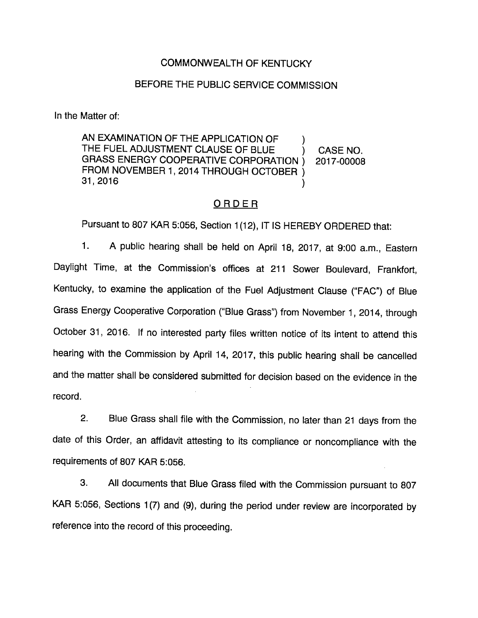## COMMONWEALTH OF KENTUCKY

## BEFORE THE PUBLIC SERVICE COMMISSION

In the Matter of:

AN EXAMINATION OF THE APPLICATION OF  $\qquad$ ) THE FUEL ADJUSTMENT CLAUSE OF BLUE ) CASE NO. GRASS ENERGY COOPERATIVE CORPORATION ) 2017-00008 FROM NOVEMBER 1, 2014 THROUGH OCTOBER ) 31,2016 )

#### ORDER

Pursuant to 807 KAR 5:056, Section 1(12), IT IS HEREBY ORDERED that:

1. A public hearing shall be held on April 18, 2017, at 9:00 a.m., Eastern Daylight Time, at the Commission's offices at 211 Sower Bouievard, Frankfort, Kentucky, to examine the application of the Fuel Adjustment Clause ("FAC") of Blue Grass Energy Cooperative Corporation ("Biue Grass") from November 1, 2014, through October 31, 2016. if no interested party files written notice of its intent to attend this hearing with the Commission by April 14, 2017, this public hearing shall be cancelled and the matter shall be considered submitted for decision based on the evidence in the record.

2. Blue Grass shall file with the Commission, no later than 21 days from the date of this Order, an affidavit attesting to its compiiance or noncompliance with the requirements of 807 KAR 5:056.

3. Aii documents that Blue Grass filed with the Commission pursuant to 807 KAR 5:056, Sections 1(7) and (9), during the period under review are incorporated by reference into the record of this proceeding.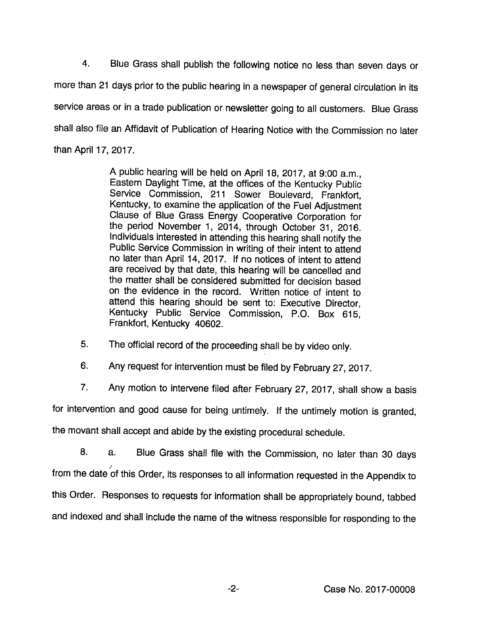4. Blue Grass shall publish the following notice no less than seven days or more than 21 days prior to the public hearing in a newspaper of general circulation in its service areas or in a trade publication or newsletter going to all customers. Blue Grass shall also file an Affidavit of Publication of Hearing Notice with the Commission no later than April 17, 2017.

> A public hearing will be held on April 18, 2017, at 9:00 a.m., Eastem Daylight Time, at the offices of the Kentucky Public Service Commission, 211 Sower Boulevard, Frankfort, Kentucky, to examine the application of the Fuel Adjustment Clause of Blue Grass Energy Cooperative Corporation for the period November 1, 2014, through October 31, 2016. Individuals Interested in attending this hearing shall notify the Public Service Commission in writing of their intent to attend no later than April 14, 2017. If no notices of intent to attend are received by that date, this hearing will be cancelled and the matter shall be considered submitted for decision based on the evidence in the record. Written notice of intent to attend this hearing should be sent to: Executive Director, Kentucky Public Service Commission, P.O. Box 615, Frankfort, Kentucky 40602.

5. The official record of the proceeding shall be by video only.

6. Any request for intervention must be filed by February 27, 2017.

7. Any motion to intervene filed after February 27, 2017, shall show a basis

for intervention and good cause for being untimely. If the untimely motion is granted,

the movant shall accept and abide by the existing procedural schedule.

8. a. Blue Grass shall file with the Commission, no later than 30 days from the date of this Order, its responses to all information requested in the Appendix to this Order. Responses to requests for information shall be appropriately bound, tabbed and indexed and shall include the name of the witness responsible for responding to the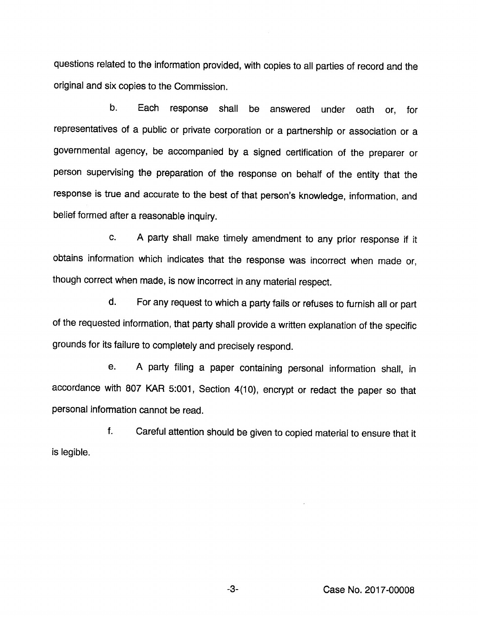questions related to the information provided, with copies to all parties of record and the original and six copies to the Commission.

b. Each response shall be answered under oath or, for representatives of a public or private corporation or a partnership or association or a governmental agency, be accompanied by a signed certification of the preparer or person supervising the preparation of the response on behatf of the entity that the response is true and accurate to the best of that person's knowledge, information, and belief formed after a reasonable inquiry.

c. A party shall make timely amendment to any prior response if it obtains information which indicates that the response was incorrect when made or, though correct when made, is now incorrect in any material respect.

d. For any request to which a party fails or refuses to furnish all or part of the requested information, that party shall provide a written explanation of the specific grounds for its failure to completely and precisely respond.

e. A party filing a paper containing personal information shall, in accordance with 807 KAR 5:001, Section 4(10), encrypt or redact the paper so that personal information cannot be read.

f. Careful attention should be given to copied material to ensure that it is legible.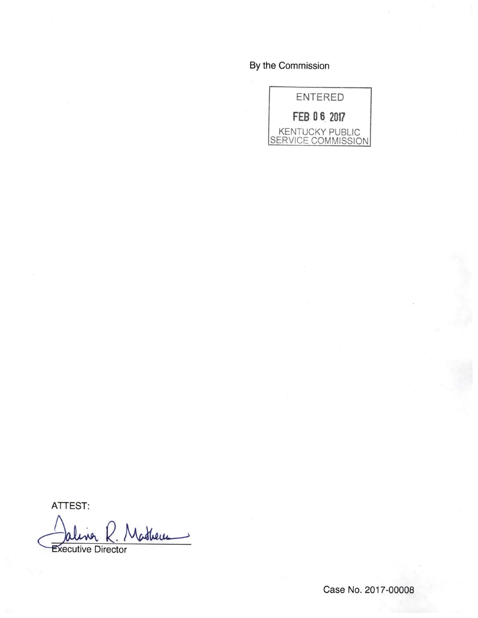# By the Commission



ATTEST:

Nathern **Executive Director** 

Case No. 2017-00008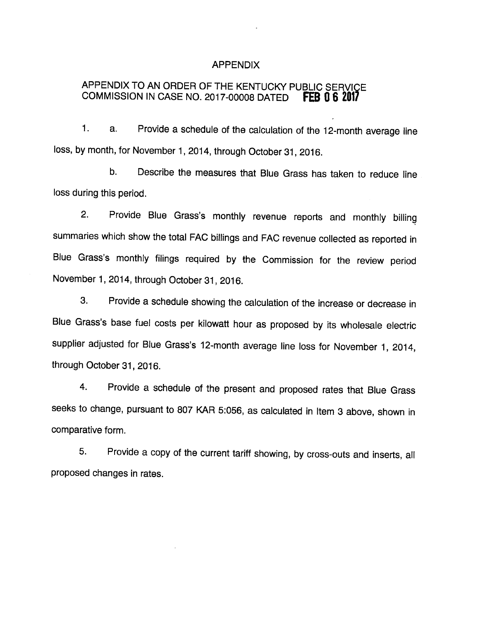#### APPENDIX

# APPENDIX TO AN ORDER OF THE KENTUCKY PUBLIC SERVICE COMMISSION IN CASE NO. 2017-00008 DATED FEB 0 6 2017

1. a. Provide a schedule of the calculation of the 12-month average line loss, by month, for November 1, 2014, through October 31, 2016.

b. Describe the measures that Blue Grass has taken to reduce line loss during this period.

2. Provide Blue Grass's monthly revenue reports and monthly billing summaries which show the total FAC billings and FAC revenue collected as reported in Blue Grass's monthly filings required by the Commission for the review period November 1, 2014, through October 31, 2016.

3. Provide a schedule showing the calculation of the increase or decrease in Blue Grass's base fuel costs per kilowatt hour as proposed by its wholesale electric supplier adjusted for Blue Grass's 12-month average line loss for November 1, 2014, through October 31, 2016.

4. Provide a schedule of the present and proposed rates that Blue Grass seeks to change, pursuant to 807 KAR 5:056, as calculated in Item 3 above, shown in comparative form.

5. Provide a copy of the current tariff showing, by cross-outs and inserts, all proposed changes in rates.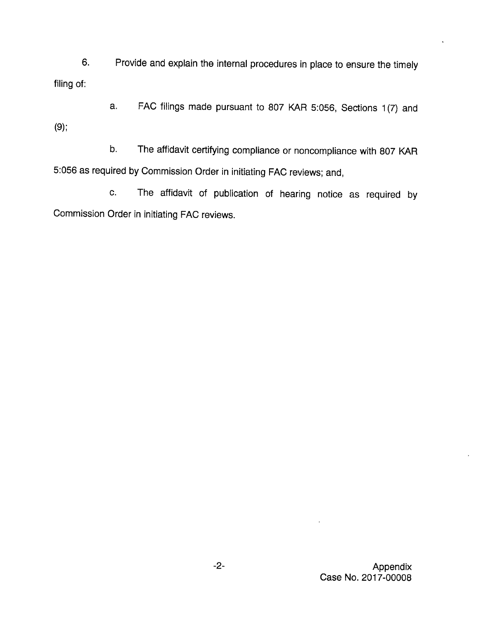6. Provide and explain the internal procedures in place to ensure the timely filing of:

a. FAC filings made pursuant to 807 KAR 5:056, Sections 1(7) and (9):

b. The affidavit certifying compliance or noncompliance with 807 KAR 5:056 as required by Commission Order in initiating FAC reviews; and,

c. The affidavit of publication of hearing notice as required by Commission Order in initiating FAC reviews.